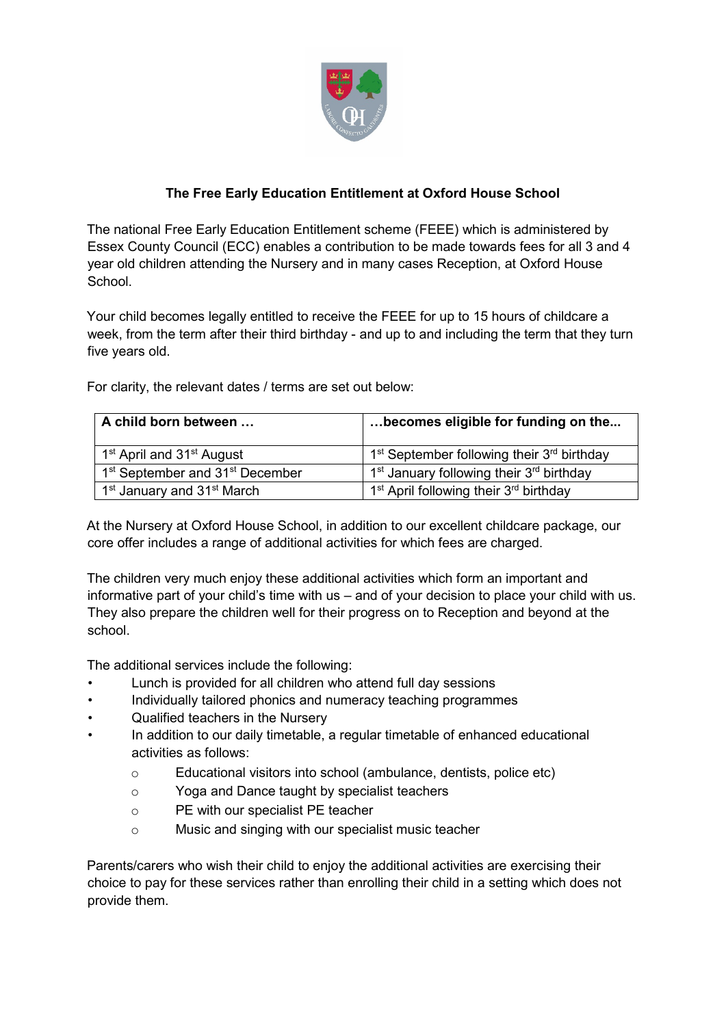

## **The Free Early Education Entitlement at Oxford House School**

The national Free Early Education Entitlement scheme (FEEE) which is administered by Essex County Council (ECC) enables a contribution to be made towards fees for all 3 and 4 year old children attending the Nursery and in many cases Reception, at Oxford House School.

Your child becomes legally entitled to receive the FEEE for up to 15 hours of childcare a week, from the term after their third birthday - and up to and including the term that they turn five years old.

For clarity, the relevant dates / terms are set out below:

| A child born between                                    | becomes eligible for funding on the                              |
|---------------------------------------------------------|------------------------------------------------------------------|
| 1 <sup>st</sup> April and 31 <sup>st</sup> August       | $1st$ September following their $3rd$ birthday                   |
| 1 <sup>st</sup> September and 31 <sup>st</sup> December | 1 <sup>st</sup> January following their 3 <sup>rd</sup> birthday |
| 1 <sup>st</sup> January and 31 <sup>st</sup> March      | 1 <sup>st</sup> April following their 3 <sup>rd</sup> birthday   |

At the Nursery at Oxford House School, in addition to our excellent childcare package, our core offer includes a range of additional activities for which fees are charged.

The children very much enjoy these additional activities which form an important and informative part of your child's time with us – and of your decision to place your child with us. They also prepare the children well for their progress on to Reception and beyond at the school.

The additional services include the following:

- Lunch is provided for all children who attend full day sessions
- Individually tailored phonics and numeracy teaching programmes
- Qualified teachers in the Nursery
- In addition to our daily timetable, a regular timetable of enhanced educational activities as follows:
	- o Educational visitors into school (ambulance, dentists, police etc)
	- o Yoga and Dance taught by specialist teachers
	- o PE with our specialist PE teacher
	- o Music and singing with our specialist music teacher

Parents/carers who wish their child to enjoy the additional activities are exercising their choice to pay for these services rather than enrolling their child in a setting which does not provide them.